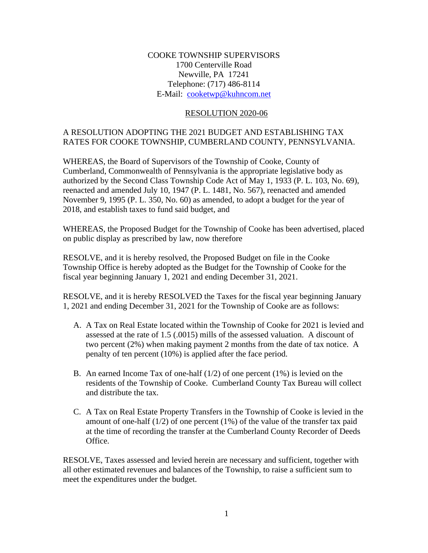### COOKE TOWNSHIP SUPERVISORS 1700 Centerville Road Newville, PA 17241 Telephone: (717) 486-8114 E-Mail: [cooketwp@kuhncom.net](../2017%20Resolutions/cooketwp@kuhncom.net)

#### RESOLUTION 2020-06

### A RESOLUTION ADOPTING THE 2021 BUDGET AND ESTABLISHING TAX RATES FOR COOKE TOWNSHIP, CUMBERLAND COUNTY, PENNSYLVANIA.

WHEREAS, the Board of Supervisors of the Township of Cooke, County of Cumberland, Commonwealth of Pennsylvania is the appropriate legislative body as authorized by the Second Class Township Code Act of May 1, 1933 (P. L. 103, No. 69), reenacted and amended July 10, 1947 (P. L. 1481, No. 567), reenacted and amended November 9, 1995 (P. L. 350, No. 60) as amended, to adopt a budget for the year of 2018, and establish taxes to fund said budget, and

WHEREAS, the Proposed Budget for the Township of Cooke has been advertised, placed on public display as prescribed by law, now therefore

RESOLVE, and it is hereby resolved, the Proposed Budget on file in the Cooke Township Office is hereby adopted as the Budget for the Township of Cooke for the fiscal year beginning January 1, 2021 and ending December 31, 2021.

RESOLVE, and it is hereby RESOLVED the Taxes for the fiscal year beginning January 1, 2021 and ending December 31, 2021 for the Township of Cooke are as follows:

- A. A Tax on Real Estate located within the Township of Cooke for 2021 is levied and assessed at the rate of 1.5 (.0015) mills of the assessed valuation. A discount of two percent (2%) when making payment 2 months from the date of tax notice. A penalty of ten percent (10%) is applied after the face period.
- B. An earned Income Tax of one-half  $(1/2)$  of one percent  $(1\%)$  is levied on the residents of the Township of Cooke. Cumberland County Tax Bureau will collect and distribute the tax.
- C. A Tax on Real Estate Property Transfers in the Township of Cooke is levied in the amount of one-half  $(1/2)$  of one percent  $(1%)$  of the value of the transfer tax paid at the time of recording the transfer at the Cumberland County Recorder of Deeds Office.

RESOLVE, Taxes assessed and levied herein are necessary and sufficient, together with all other estimated revenues and balances of the Township, to raise a sufficient sum to meet the expenditures under the budget.